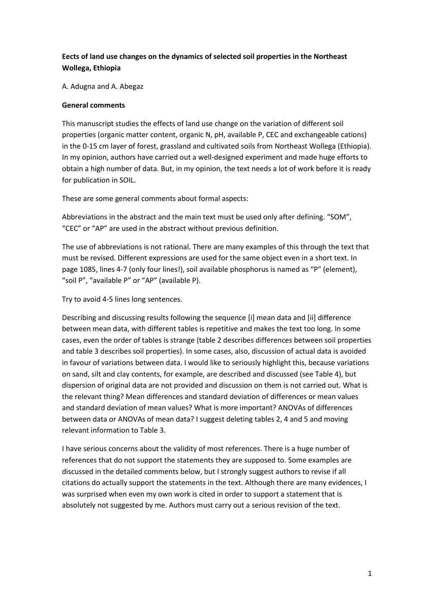# **Eects of land use changes on the dynamics of selected soil properties in the Northeast Wollega, Ethiopia**

A. Adugna and A. Abegaz

#### **General comments**

This manuscript studies the effects of land use change on the variation of different soil properties (organic matter content, organic N, pH, available P, CEC and exchangeable cations) in the 0-15 cm layer of forest, grassland and cultivated soils from Northeast Wollega (Ethiopia). In my opinion, authors have carried out a well-designed experiment and made huge efforts to obtain a high number of data. But, in my opinion, the text needs a lot of work before it is ready for publication in SOIL.

These are some general comments about formal aspects:

Abbreviations in the abstract and the main text must be used only after defining. "SOM", "CEC" or "AP" are used in the abstract without previous definition.

The use of abbreviations is not rational. There are many examples of this through the text that must be revised. Different expressions are used for the same object even in a short text. In page 1085, lines 4-7 (only four lines!), soil available phosphorus is named as "P" (element), "soil P", "available P" or "AP" (available P).

Try to avoid 4-5 lines long sentences.

Describing and discussing results following the sequence [i] mean data and [ii] difference between mean data, with different tables is repetitive and makes the text too long. In some cases, even the order of tables is strange (table 2 describes differences between soil properties and table 3 describes soil properties). In some cases, also, discussion of actual data is avoided in favour of variations between data. I would like to seriously highlight this, because variations on sand, silt and clay contents, for example, are described and discussed (see Table 4), but dispersion of original data are not provided and discussion on them is not carried out. What is the relevant thing? Mean differences and standard deviation of differences or mean values and standard deviation of mean values? What is more important? ANOVAs of differences between data or ANOVAs of mean data? I suggest deleting tables 2, 4 and 5 and moving relevant information to Table 3.

I have serious concerns about the validity of most references. There is a huge number of references that do not support the statements they are supposed to. Some examples are discussed in the detailed comments below, but I strongly suggest authors to revise if all citations do actually support the statements in the text. Although there are many evidences, I was surprised when even my own work is cited in order to support a statement that is absolutely not suggested by me. Authors must carry out a serious revision of the text.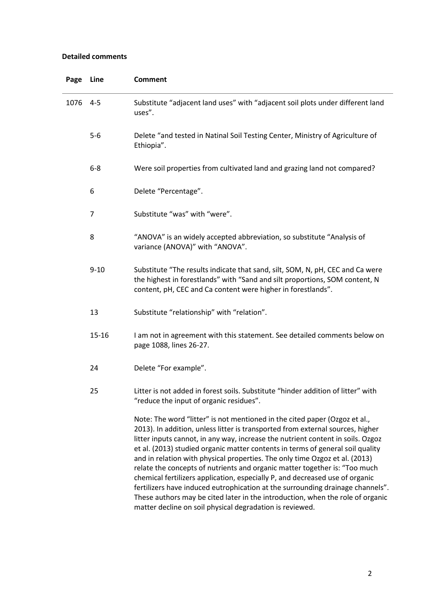## **Detailed comments**

| Page | Line      | <b>Comment</b>                                                                                                                                                                                                                                                                                                                                                                                                                                                                                                                                                                                                                                                                                                                                                                                                 |
|------|-----------|----------------------------------------------------------------------------------------------------------------------------------------------------------------------------------------------------------------------------------------------------------------------------------------------------------------------------------------------------------------------------------------------------------------------------------------------------------------------------------------------------------------------------------------------------------------------------------------------------------------------------------------------------------------------------------------------------------------------------------------------------------------------------------------------------------------|
| 1076 | $4 - 5$   | Substitute "adjacent land uses" with "adjacent soil plots under different land<br>uses".                                                                                                                                                                                                                                                                                                                                                                                                                                                                                                                                                                                                                                                                                                                       |
|      | $5-6$     | Delete "and tested in Natinal Soil Testing Center, Ministry of Agriculture of<br>Ethiopia".                                                                                                                                                                                                                                                                                                                                                                                                                                                                                                                                                                                                                                                                                                                    |
|      | $6 - 8$   | Were soil properties from cultivated land and grazing land not compared?                                                                                                                                                                                                                                                                                                                                                                                                                                                                                                                                                                                                                                                                                                                                       |
|      | 6         | Delete "Percentage".                                                                                                                                                                                                                                                                                                                                                                                                                                                                                                                                                                                                                                                                                                                                                                                           |
|      | 7         | Substitute "was" with "were".                                                                                                                                                                                                                                                                                                                                                                                                                                                                                                                                                                                                                                                                                                                                                                                  |
|      | 8         | "ANOVA" is an widely accepted abbreviation, so substitute "Analysis of<br>variance (ANOVA)" with "ANOVA".                                                                                                                                                                                                                                                                                                                                                                                                                                                                                                                                                                                                                                                                                                      |
|      | $9 - 10$  | Substitute "The results indicate that sand, silt, SOM, N, pH, CEC and Ca were<br>the highest in forestlands" with "Sand and silt proportions, SOM content, N<br>content, pH, CEC and Ca content were higher in forestlands".                                                                                                                                                                                                                                                                                                                                                                                                                                                                                                                                                                                   |
|      | 13        | Substitute "relationship" with "relation".                                                                                                                                                                                                                                                                                                                                                                                                                                                                                                                                                                                                                                                                                                                                                                     |
|      | $15 - 16$ | I am not in agreement with this statement. See detailed comments below on<br>page 1088, lines 26-27.                                                                                                                                                                                                                                                                                                                                                                                                                                                                                                                                                                                                                                                                                                           |
|      | 24        | Delete "For example".                                                                                                                                                                                                                                                                                                                                                                                                                                                                                                                                                                                                                                                                                                                                                                                          |
|      | 25        | Litter is not added in forest soils. Substitute "hinder addition of litter" with<br>"reduce the input of organic residues".                                                                                                                                                                                                                                                                                                                                                                                                                                                                                                                                                                                                                                                                                    |
|      |           | Note: The word "litter" is not mentioned in the cited paper (Ozgoz et al.,<br>2013). In addition, unless litter is transported from external sources, higher<br>litter inputs cannot, in any way, increase the nutrient content in soils. Ozgoz<br>et al. (2013) studied organic matter contents in terms of general soil quality<br>and in relation with physical properties. The only time Ozgoz et al. (2013)<br>relate the concepts of nutrients and organic matter together is: "Too much<br>chemical fertilizers application, especially P, and decreased use of organic<br>fertilizers have induced eutrophication at the surrounding drainage channels".<br>These authors may be cited later in the introduction, when the role of organic<br>matter decline on soil physical degradation is reviewed. |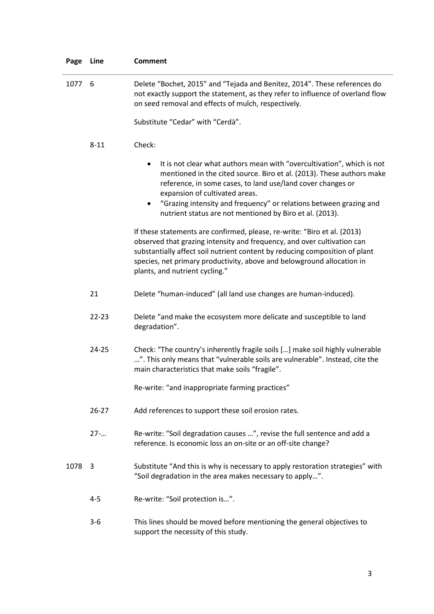| Page   | Line      | <b>Comment</b>                                                                                                                                                                                                                                                                                                                                                                                       |
|--------|-----------|------------------------------------------------------------------------------------------------------------------------------------------------------------------------------------------------------------------------------------------------------------------------------------------------------------------------------------------------------------------------------------------------------|
| 1077 6 |           | Delete "Bochet, 2015" and "Tejada and Benitez, 2014". These references do<br>not exactly support the statement, as they refer to influence of overland flow<br>on seed removal and effects of mulch, respectively.                                                                                                                                                                                   |
|        |           | Substitute "Cedar" with "Cerdà".                                                                                                                                                                                                                                                                                                                                                                     |
|        | $8 - 11$  | Check:                                                                                                                                                                                                                                                                                                                                                                                               |
|        |           | It is not clear what authors mean with "overcultivation", which is not<br>٠<br>mentioned in the cited source. Biro et al. (2013). These authors make<br>reference, in some cases, to land use/land cover changes or<br>expansion of cultivated areas.<br>"Grazing intensity and frequency" or relations between grazing and<br>$\bullet$<br>nutrient status are not mentioned by Biro et al. (2013). |
|        |           | If these statements are confirmed, please, re-write: "Biro et al. (2013)<br>observed that grazing intensity and frequency, and over cultivation can<br>substantially affect soil nutrient content by reducing composition of plant<br>species, net primary productivity, above and belowground allocation in<br>plants, and nutrient cycling."                                                       |
|        | 21        | Delete "human-induced" (all land use changes are human-induced).                                                                                                                                                                                                                                                                                                                                     |
|        | $22 - 23$ | Delete "and make the ecosystem more delicate and susceptible to land<br>degradation".                                                                                                                                                                                                                                                                                                                |
|        | 24-25     | Check: "The country's inherently fragile soils [] make soil highly vulnerable<br>". This only means that "vulnerable soils are vulnerable". Instead, cite the<br>main characteristics that make soils "fragile".                                                                                                                                                                                     |
|        |           | Re-write: "and inappropriate farming practices"                                                                                                                                                                                                                                                                                                                                                      |
|        | $26 - 27$ | Add references to support these soil erosion rates.                                                                                                                                                                                                                                                                                                                                                  |
|        | $27-$     | Re-write: "Soil degradation causes ", revise the full sentence and add a<br>reference. Is economic loss an on-site or an off-site change?                                                                                                                                                                                                                                                            |
| 1078   | -3        | Substitute "And this is why is necessary to apply restoration strategies" with<br>"Soil degradation in the area makes necessary to apply".                                                                                                                                                                                                                                                           |
|        | $4 - 5$   | Re-write: "Soil protection is".                                                                                                                                                                                                                                                                                                                                                                      |
|        | $3 - 6$   | This lines should be moved before mentioning the general objectives to<br>support the necessity of this study.                                                                                                                                                                                                                                                                                       |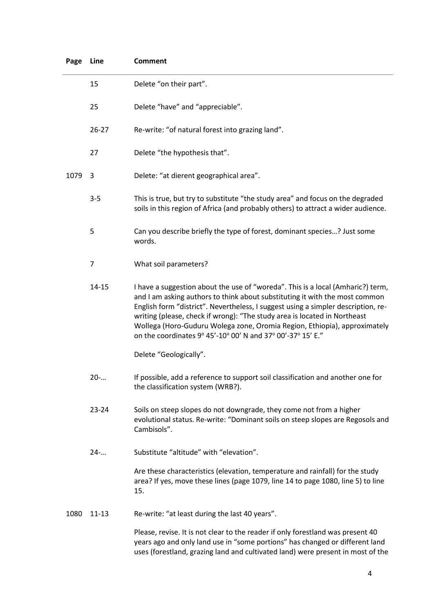| Page Line |                | <b>Comment</b>                                                                                                                                                                                                                                                                                                                                                                                                                                                               |
|-----------|----------------|------------------------------------------------------------------------------------------------------------------------------------------------------------------------------------------------------------------------------------------------------------------------------------------------------------------------------------------------------------------------------------------------------------------------------------------------------------------------------|
|           | 15             | Delete "on their part".                                                                                                                                                                                                                                                                                                                                                                                                                                                      |
|           | 25             | Delete "have" and "appreciable".                                                                                                                                                                                                                                                                                                                                                                                                                                             |
|           | $26 - 27$      | Re-write: "of natural forest into grazing land".                                                                                                                                                                                                                                                                                                                                                                                                                             |
|           | 27             | Delete "the hypothesis that".                                                                                                                                                                                                                                                                                                                                                                                                                                                |
| 1079      | 3              | Delete: "at dierent geographical area".                                                                                                                                                                                                                                                                                                                                                                                                                                      |
|           | $3 - 5$        | This is true, but try to substitute "the study area" and focus on the degraded<br>soils in this region of Africa (and probably others) to attract a wider audience.                                                                                                                                                                                                                                                                                                          |
|           | 5              | Can you describe briefly the type of forest, dominant species? Just some<br>words.                                                                                                                                                                                                                                                                                                                                                                                           |
|           | $\overline{7}$ | What soil parameters?                                                                                                                                                                                                                                                                                                                                                                                                                                                        |
|           | 14-15          | I have a suggestion about the use of "woreda". This is a local (Amharic?) term,<br>and I am asking authors to think about substituting it with the most common<br>English form "district". Nevertheless, I suggest using a simpler description, re-<br>writing (please, check if wrong): "The study area is located in Northeast<br>Wollega (Horo-Guduru Wolega zone, Oromia Region, Ethiopia), approximately<br>on the coordinates 9° 45'-10° 00' N and 37° 00'-37° 15' E." |
|           |                | Delete "Geologically".                                                                                                                                                                                                                                                                                                                                                                                                                                                       |
|           | $20-$          | If possible, add a reference to support soil classification and another one for<br>the classification system (WRB?).                                                                                                                                                                                                                                                                                                                                                         |
|           | 23-24          | Soils on steep slopes do not downgrade, they come not from a higher<br>evolutional status. Re-write: "Dominant soils on steep slopes are Regosols and<br>Cambisols".                                                                                                                                                                                                                                                                                                         |
|           | $24-$          | Substitute "altitude" with "elevation".                                                                                                                                                                                                                                                                                                                                                                                                                                      |
|           |                | Are these characteristics (elevation, temperature and rainfall) for the study<br>area? If yes, move these lines (page 1079, line 14 to page 1080, line 5) to line<br>15.                                                                                                                                                                                                                                                                                                     |
| 1080      | $11 - 13$      | Re-write: "at least during the last 40 years".                                                                                                                                                                                                                                                                                                                                                                                                                               |
|           |                | Please, revise. It is not clear to the reader if only forestland was present 40<br>years ago and only land use in "some portions" has changed or different land<br>uses (forestland, grazing land and cultivated land) were present in most of the                                                                                                                                                                                                                           |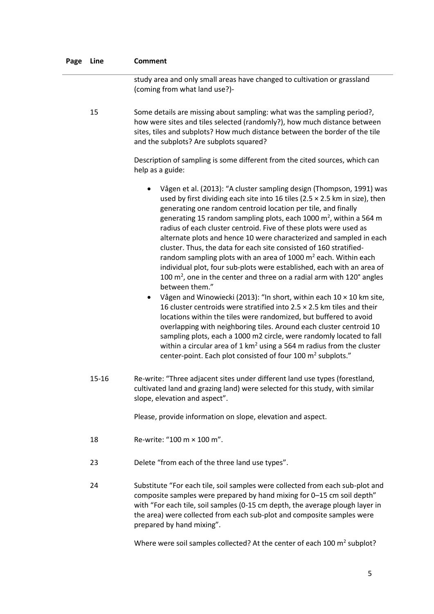| Page | Line  | <b>Comment</b>                                                                                                                                                                                                                                                                                                                                                                                                                                                                                                                                                                                                                                                                                                                                                                                                                                                                                                                                                                                                                                                                                                                                                                                                                                                                                                          |
|------|-------|-------------------------------------------------------------------------------------------------------------------------------------------------------------------------------------------------------------------------------------------------------------------------------------------------------------------------------------------------------------------------------------------------------------------------------------------------------------------------------------------------------------------------------------------------------------------------------------------------------------------------------------------------------------------------------------------------------------------------------------------------------------------------------------------------------------------------------------------------------------------------------------------------------------------------------------------------------------------------------------------------------------------------------------------------------------------------------------------------------------------------------------------------------------------------------------------------------------------------------------------------------------------------------------------------------------------------|
|      |       | study area and only small areas have changed to cultivation or grassland<br>(coming from what land use?)-                                                                                                                                                                                                                                                                                                                                                                                                                                                                                                                                                                                                                                                                                                                                                                                                                                                                                                                                                                                                                                                                                                                                                                                                               |
|      | 15    | Some details are missing about sampling: what was the sampling period?,<br>how were sites and tiles selected (randomly?), how much distance between<br>sites, tiles and subplots? How much distance between the border of the tile<br>and the subplots? Are subplots squared?                                                                                                                                                                                                                                                                                                                                                                                                                                                                                                                                                                                                                                                                                                                                                                                                                                                                                                                                                                                                                                           |
|      |       | Description of sampling is some different from the cited sources, which can<br>help as a guide:                                                                                                                                                                                                                                                                                                                                                                                                                                                                                                                                                                                                                                                                                                                                                                                                                                                                                                                                                                                                                                                                                                                                                                                                                         |
|      |       | Vågen et al. (2013): "A cluster sampling design (Thompson, 1991) was<br>used by first dividing each site into 16 tiles (2.5 $\times$ 2.5 km in size), then<br>generating one random centroid location per tile, and finally<br>generating 15 random sampling plots, each 1000 $m2$ , within a 564 m<br>radius of each cluster centroid. Five of these plots were used as<br>alternate plots and hence 10 were characterized and sampled in each<br>cluster. Thus, the data for each site consisted of 160 stratified-<br>random sampling plots with an area of 1000 $m2$ each. Within each<br>individual plot, four sub-plots were established, each with an area of<br>100 $m2$ , one in the center and three on a radial arm with 120 $^{\circ}$ angles<br>between them."<br>Vågen and Winowiecki (2013): "In short, within each 10 x 10 km site,<br>16 cluster centroids were stratified into 2.5 $\times$ 2.5 km tiles and their<br>locations within the tiles were randomized, but buffered to avoid<br>overlapping with neighboring tiles. Around each cluster centroid 10<br>sampling plots, each a 1000 m2 circle, were randomly located to fall<br>within a circular area of $1 \text{ km}^2$ using a 564 m radius from the cluster<br>center-point. Each plot consisted of four 100 m <sup>2</sup> subplots." |
|      | 15-16 | Re-write: "Three adjacent sites under different land use types (forestland,<br>cultivated land and grazing land) were selected for this study, with similar<br>slope, elevation and aspect".                                                                                                                                                                                                                                                                                                                                                                                                                                                                                                                                                                                                                                                                                                                                                                                                                                                                                                                                                                                                                                                                                                                            |
|      |       | Please, provide information on slope, elevation and aspect.                                                                                                                                                                                                                                                                                                                                                                                                                                                                                                                                                                                                                                                                                                                                                                                                                                                                                                                                                                                                                                                                                                                                                                                                                                                             |
|      | 18    | Re-write: "100 m × 100 m".                                                                                                                                                                                                                                                                                                                                                                                                                                                                                                                                                                                                                                                                                                                                                                                                                                                                                                                                                                                                                                                                                                                                                                                                                                                                                              |
|      | 23    | Delete "from each of the three land use types".                                                                                                                                                                                                                                                                                                                                                                                                                                                                                                                                                                                                                                                                                                                                                                                                                                                                                                                                                                                                                                                                                                                                                                                                                                                                         |
|      | 24    | Substitute "For each tile, soil samples were collected from each sub-plot and<br>composite samples were prepared by hand mixing for 0-15 cm soil depth"<br>with "For each tile, soil samples (0-15 cm depth, the average plough layer in<br>the area) were collected from each sub-plot and composite samples were<br>prepared by hand mixing".                                                                                                                                                                                                                                                                                                                                                                                                                                                                                                                                                                                                                                                                                                                                                                                                                                                                                                                                                                         |
|      |       | Where were soil samples collected? At the center of each 100 m <sup>2</sup> subplot?                                                                                                                                                                                                                                                                                                                                                                                                                                                                                                                                                                                                                                                                                                                                                                                                                                                                                                                                                                                                                                                                                                                                                                                                                                    |
|      |       |                                                                                                                                                                                                                                                                                                                                                                                                                                                                                                                                                                                                                                                                                                                                                                                                                                                                                                                                                                                                                                                                                                                                                                                                                                                                                                                         |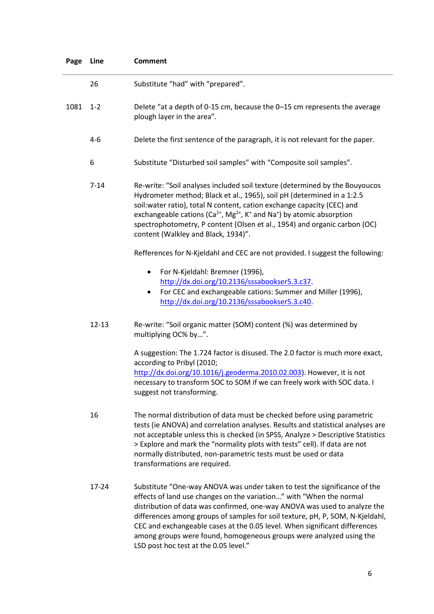| Page Line |           | <b>Comment</b>                                                                                                                                                                                                                                                                                                                                                                                                                                                          |
|-----------|-----------|-------------------------------------------------------------------------------------------------------------------------------------------------------------------------------------------------------------------------------------------------------------------------------------------------------------------------------------------------------------------------------------------------------------------------------------------------------------------------|
|           | 26        | Substitute "had" with "prepared".                                                                                                                                                                                                                                                                                                                                                                                                                                       |
| 1081      | $1 - 2$   | Delete "at a depth of 0-15 cm, because the 0-15 cm represents the average<br>plough layer in the area".                                                                                                                                                                                                                                                                                                                                                                 |
|           | $4 - 6$   | Delete the first sentence of the paragraph, it is not relevant for the paper.                                                                                                                                                                                                                                                                                                                                                                                           |
|           | 6         | Substitute "Disturbed soil samples" with "Composite soil samples".                                                                                                                                                                                                                                                                                                                                                                                                      |
|           | $7 - 14$  | Re-write: "Soil analyses included soil texture (determined by the Bouyoucos<br>Hydrometer method; Black et al., 1965), soil pH (determined in a 1:2.5<br>soil: water ratio), total N content, cation exchange capacity (CEC) and<br>exchangeable cations ( $Ca^{2+}$ , Mg <sup>2+</sup> , K <sup>+</sup> and Na <sup>+</sup> ) by atomic absorption<br>spectrophotometry, P content (Olsen et al., 1954) and organic carbon (OC)<br>content (Walkley and Black, 1934)". |
|           |           | Refferences for N-Kjeldahl and CEC are not provided. I suggest the following:                                                                                                                                                                                                                                                                                                                                                                                           |
|           |           | For N-Kjeldahl: Bremner (1996),<br>٠<br>http://dx.doi.org/10.2136/sssabookser5.3.c37<br>For CEC and exchangeable cations: Summer and Miller (1996),<br>$\bullet$<br>http://dx.doi.org/10.2136/sssabookser5.3.c40.                                                                                                                                                                                                                                                       |
|           | $12 - 13$ | Re-write: "Soil organic matter (SOM) content (%) was determined by<br>multiplying OC% by".                                                                                                                                                                                                                                                                                                                                                                              |
|           |           | A suggestion: The 1.724 factor is disused. The 2.0 factor is much more exact,<br>according to Pribyl (2010;<br>http://dx.doi.org/10.1016/j.geoderma.2010.02.003). However, it is not<br>necessary to transform SOC to SOM if we can freely work with SOC data. I<br>suggest not transforming.                                                                                                                                                                           |
|           | 16        | The normal distribution of data must be checked before using parametric<br>tests (ie ANOVA) and correlation analyses. Results and statistical analyses are<br>not acceptable unless this is checked (in SPSS, Analyze > Descriptive Statistics<br>> Explore and mark the "normality plots with tests" cell). If data are not<br>normally distributed, non-parametric tests must be used or data<br>transformations are required.                                        |
|           | 17-24     | Substitute "One-way ANOVA was under taken to test the significance of the<br>effects of land use changes on the variation" with "When the normal<br>distribution of data was confirmed, one-way ANOVA was used to analyze the<br>differences among groups of samples for soil texture, pH, P, SOM, N-Kjeldahl,<br>CEC and exchangeable cases at the 0.05 level. When significant differences                                                                            |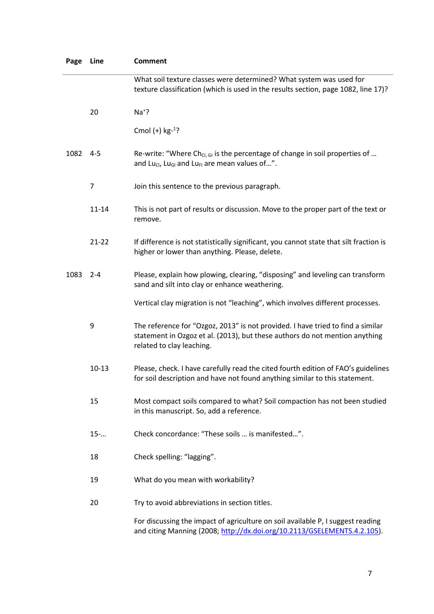| Page | Line           | <b>Comment</b>                                                                                                                                                                              |
|------|----------------|---------------------------------------------------------------------------------------------------------------------------------------------------------------------------------------------|
|      |                | What soil texture classes were determined? What system was used for<br>texture classification (which is used in the results section, page 1082, line 17)?                                   |
|      | 20             | $Na+?$                                                                                                                                                                                      |
|      |                | Cmol $(+)$ kg- <sup>1</sup> ?                                                                                                                                                               |
| 1082 | $4 - 5$        | Re-write: "Where Ch <sub>Cl, Gl</sub> is the percentage of change in soil properties of<br>and Luci, Lu <sub>GI</sub> and Lu <sub>FI</sub> are mean values of".                             |
|      | $\overline{7}$ | Join this sentence to the previous paragraph.                                                                                                                                               |
|      | $11 - 14$      | This is not part of results or discussion. Move to the proper part of the text or<br>remove.                                                                                                |
|      | $21 - 22$      | If difference is not statistically significant, you cannot state that silt fraction is<br>higher or lower than anything. Please, delete.                                                    |
| 1083 | $2 - 4$        | Please, explain how plowing, clearing, "disposing" and leveling can transform<br>sand and silt into clay or enhance weathering.                                                             |
|      |                | Vertical clay migration is not "leaching", which involves different processes.                                                                                                              |
|      | 9              | The reference for "Ozgoz, 2013" is not provided. I have tried to find a similar<br>statement in Ozgoz et al. (2013), but these authors do not mention anything<br>related to clay leaching. |
|      | $10 - 13$      | Please, check. I have carefully read the cited fourth edition of FAO's guidelines<br>for soil description and have not found anything similar to this statement.                            |
|      | 15             | Most compact soils compared to what? Soil compaction has not been studied<br>in this manuscript. So, add a reference.                                                                       |
|      | $15 - $        | Check concordance: "These soils  is manifested".                                                                                                                                            |
|      | 18             | Check spelling: "lagging".                                                                                                                                                                  |
|      | 19             | What do you mean with workability?                                                                                                                                                          |
|      | 20             | Try to avoid abbreviations in section titles.                                                                                                                                               |
|      |                | For discussing the impact of agriculture on soil available P, I suggest reading<br>and citing Manning (2008; http://dx.doi.org/10.2113/GSELEMENTS.4.2.105).                                 |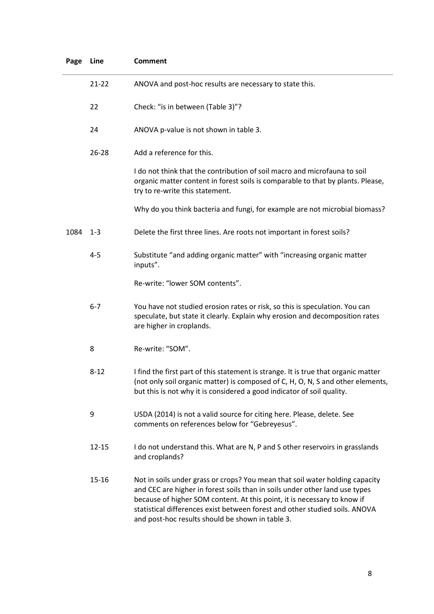| Page | Line      | <b>Comment</b>                                                                                                                                                                                                                                                                                                                                                             |
|------|-----------|----------------------------------------------------------------------------------------------------------------------------------------------------------------------------------------------------------------------------------------------------------------------------------------------------------------------------------------------------------------------------|
|      | $21 - 22$ | ANOVA and post-hoc results are necessary to state this.                                                                                                                                                                                                                                                                                                                    |
|      | 22        | Check: "is in between (Table 3)"?                                                                                                                                                                                                                                                                                                                                          |
|      | 24        | ANOVA p-value is not shown in table 3.                                                                                                                                                                                                                                                                                                                                     |
|      | 26-28     | Add a reference for this.                                                                                                                                                                                                                                                                                                                                                  |
|      |           | I do not think that the contribution of soil macro and microfauna to soil<br>organic matter content in forest soils is comparable to that by plants. Please,<br>try to re-write this statement.                                                                                                                                                                            |
|      |           | Why do you think bacteria and fungi, for example are not microbial biomass?                                                                                                                                                                                                                                                                                                |
| 1084 | $1 - 3$   | Delete the first three lines. Are roots not important in forest soils?                                                                                                                                                                                                                                                                                                     |
|      | $4 - 5$   | Substitute "and adding organic matter" with "increasing organic matter<br>inputs".                                                                                                                                                                                                                                                                                         |
|      |           | Re-write: "lower SOM contents".                                                                                                                                                                                                                                                                                                                                            |
|      | $6 - 7$   | You have not studied erosion rates or risk, so this is speculation. You can<br>speculate, but state it clearly. Explain why erosion and decomposition rates<br>are higher in croplands.                                                                                                                                                                                    |
|      | 8         | Re-write: "SOM".                                                                                                                                                                                                                                                                                                                                                           |
|      | $8 - 12$  | I find the first part of this statement is strange. It is true that organic matter<br>(not only soil organic matter) is composed of C, H, O, N, S and other elements,<br>but this is not why it is considered a good indicator of soil quality.                                                                                                                            |
|      | 9         | USDA (2014) is not a valid source for citing here. Please, delete. See<br>comments on references below for "Gebreyesus".                                                                                                                                                                                                                                                   |
|      | $12 - 15$ | I do not understand this. What are N, P and S other reservoirs in grasslands<br>and croplands?                                                                                                                                                                                                                                                                             |
|      | 15-16     | Not in soils under grass or crops? You mean that soil water holding capacity<br>and CEC are higher in forest soils than in soils under other land use types<br>because of higher SOM content. At this point, it is necessary to know if<br>statistical differences exist between forest and other studied soils. ANOVA<br>and post-hoc results should be shown in table 3. |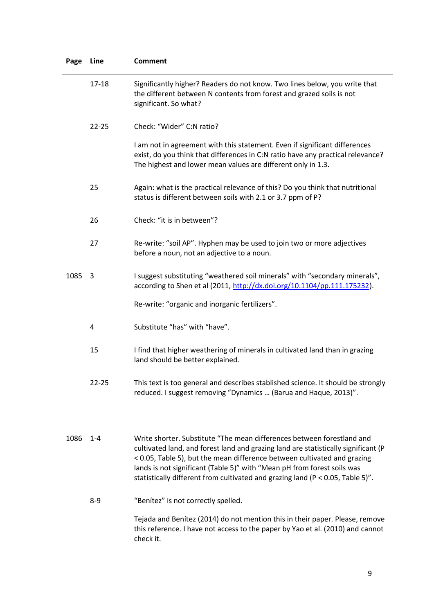| Page | Line      | <b>Comment</b>                                                                                                                                                                                                                                                                                                                                                                                        |
|------|-----------|-------------------------------------------------------------------------------------------------------------------------------------------------------------------------------------------------------------------------------------------------------------------------------------------------------------------------------------------------------------------------------------------------------|
|      | $17 - 18$ | Significantly higher? Readers do not know. Two lines below, you write that<br>the different between N contents from forest and grazed soils is not<br>significant. So what?                                                                                                                                                                                                                           |
|      | $22 - 25$ | Check: "Wider" C:N ratio?                                                                                                                                                                                                                                                                                                                                                                             |
|      |           | I am not in agreement with this statement. Even if significant differences<br>exist, do you think that differences in C:N ratio have any practical relevance?<br>The highest and lower mean values are different only in 1.3.                                                                                                                                                                         |
|      | 25        | Again: what is the practical relevance of this? Do you think that nutritional<br>status is different between soils with 2.1 or 3.7 ppm of P?                                                                                                                                                                                                                                                          |
|      | 26        | Check: "it is in between"?                                                                                                                                                                                                                                                                                                                                                                            |
|      | 27        | Re-write: "soil AP". Hyphen may be used to join two or more adjectives<br>before a noun, not an adjective to a noun.                                                                                                                                                                                                                                                                                  |
| 1085 | 3         | I suggest substituting "weathered soil minerals" with "secondary minerals",<br>according to Shen et al (2011, http://dx.doi.org/10.1104/pp.111.175232).                                                                                                                                                                                                                                               |
|      |           | Re-write: "organic and inorganic fertilizers".                                                                                                                                                                                                                                                                                                                                                        |
|      | 4         | Substitute "has" with "have".                                                                                                                                                                                                                                                                                                                                                                         |
|      | 15        | I find that higher weathering of minerals in cultivated land than in grazing<br>land should be better explained.                                                                                                                                                                                                                                                                                      |
|      | $22 - 25$ | This text is too general and describes stablished science. It should be strongly<br>reduced. I suggest removing "Dynamics  (Barua and Haque, 2013)".                                                                                                                                                                                                                                                  |
| 1086 | $1 - 4$   | Write shorter. Substitute "The mean differences between forestland and<br>cultivated land, and forest land and grazing land are statistically significant (P<br>< 0.05, Table 5), but the mean difference between cultivated and grazing<br>lands is not significant (Table 5)" with "Mean pH from forest soils was<br>statistically different from cultivated and grazing land (P < 0.05, Table 5)". |
|      | $8 - 9$   | "Benitez" is not correctly spelled.                                                                                                                                                                                                                                                                                                                                                                   |
|      |           | Tejada and Benítez (2014) do not mention this in their paper. Please, remove<br>this reference. I have not access to the paper by Yao et al. (2010) and cannot<br>check it.                                                                                                                                                                                                                           |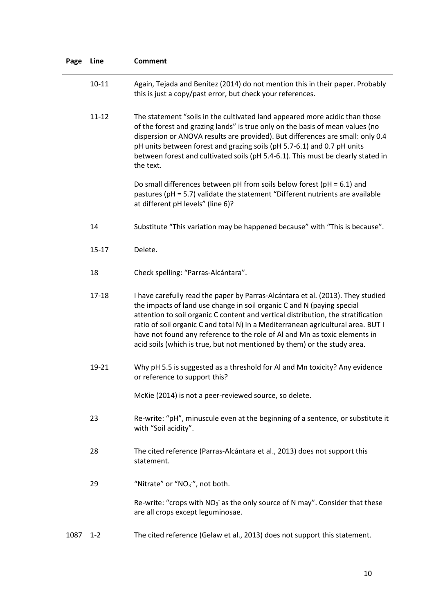| Page | Line      | <b>Comment</b>                                                                                                                                                                                                                                                                                                                                                                                                                                                                               |
|------|-----------|----------------------------------------------------------------------------------------------------------------------------------------------------------------------------------------------------------------------------------------------------------------------------------------------------------------------------------------------------------------------------------------------------------------------------------------------------------------------------------------------|
|      | $10 - 11$ | Again, Tejada and Benítez (2014) do not mention this in their paper. Probably<br>this is just a copy/past error, but check your references.                                                                                                                                                                                                                                                                                                                                                  |
|      | $11 - 12$ | The statement "soils in the cultivated land appeared more acidic than those<br>of the forest and grazing lands" is true only on the basis of mean values (no<br>dispersion or ANOVA results are provided). But differences are small: only 0.4<br>pH units between forest and grazing soils (pH 5.7-6.1) and 0.7 pH units<br>between forest and cultivated soils (pH 5.4-6.1). This must be clearly stated in<br>the text.                                                                   |
|      |           | Do small differences between pH from soils below forest ( $pH = 6.1$ ) and<br>pastures (pH = 5.7) validate the statement "Different nutrients are available<br>at different pH levels" (line 6)?                                                                                                                                                                                                                                                                                             |
|      | 14        | Substitute "This variation may be happened because" with "This is because".                                                                                                                                                                                                                                                                                                                                                                                                                  |
|      | $15 - 17$ | Delete.                                                                                                                                                                                                                                                                                                                                                                                                                                                                                      |
|      | 18        | Check spelling: "Parras-Alcántara".                                                                                                                                                                                                                                                                                                                                                                                                                                                          |
|      | $17 - 18$ | I have carefully read the paper by Parras-Alcántara et al. (2013). They studied<br>the impacts of land use change in soil organic C and N (paying special<br>attention to soil organic C content and vertical distribution, the stratification<br>ratio of soil organic C and total N) in a Mediterranean agricultural area. BUT I<br>have not found any reference to the role of Al and Mn as toxic elements in<br>acid soils (which is true, but not mentioned by them) or the study area. |
|      | 19-21     | Why pH 5.5 is suggested as a threshold for Al and Mn toxicity? Any evidence<br>or reference to support this?                                                                                                                                                                                                                                                                                                                                                                                 |
|      |           | McKie (2014) is not a peer-reviewed source, so delete.                                                                                                                                                                                                                                                                                                                                                                                                                                       |
|      | 23        | Re-write: "pH", minuscule even at the beginning of a sentence, or substitute it<br>with "Soil acidity".                                                                                                                                                                                                                                                                                                                                                                                      |
|      | 28        | The cited reference (Parras-Alcántara et al., 2013) does not support this<br>statement.                                                                                                                                                                                                                                                                                                                                                                                                      |
|      | 29        | "Nitrate" or "NO <sub>3</sub> ", not both.                                                                                                                                                                                                                                                                                                                                                                                                                                                   |
|      |           | Re-write: "crops with $NO_3^-$ as the only source of N may". Consider that these<br>are all crops except leguminosae.                                                                                                                                                                                                                                                                                                                                                                        |
| 1087 | $1 - 2$   | The cited reference (Gelaw et al., 2013) does not support this statement.                                                                                                                                                                                                                                                                                                                                                                                                                    |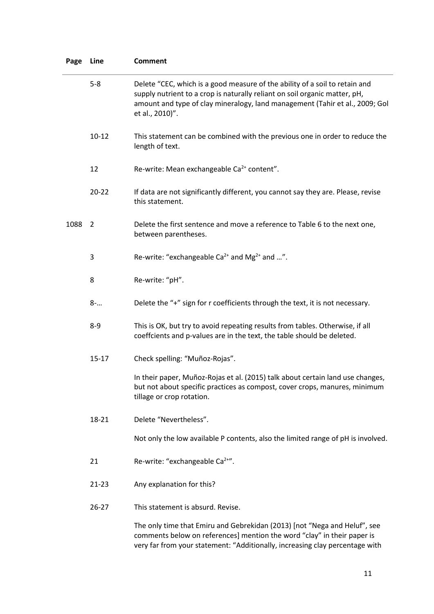| Page | Line           | <b>Comment</b>                                                                                                                                                                                                                                               |
|------|----------------|--------------------------------------------------------------------------------------------------------------------------------------------------------------------------------------------------------------------------------------------------------------|
|      | $5 - 8$        | Delete "CEC, which is a good measure of the ability of a soil to retain and<br>supply nutrient to a crop is naturally reliant on soil organic matter, pH,<br>amount and type of clay mineralogy, land management (Tahir et al., 2009; Gol<br>et al., 2010)". |
|      | $10 - 12$      | This statement can be combined with the previous one in order to reduce the<br>length of text.                                                                                                                                                               |
|      | 12             | Re-write: Mean exchangeable Ca <sup>2+</sup> content".                                                                                                                                                                                                       |
|      | $20 - 22$      | If data are not significantly different, you cannot say they are. Please, revise<br>this statement.                                                                                                                                                          |
| 1088 | $\overline{2}$ | Delete the first sentence and move a reference to Table 6 to the next one,<br>between parentheses.                                                                                                                                                           |
|      | 3              | Re-write: "exchangeable $Ca^{2+}$ and Mg <sup>2+</sup> and ".                                                                                                                                                                                                |
|      | 8              | Re-write: "pH".                                                                                                                                                                                                                                              |
|      | $8 - $         | Delete the "+" sign for r coefficients through the text, it is not necessary.                                                                                                                                                                                |
|      | $8 - 9$        | This is OK, but try to avoid repeating results from tables. Otherwise, if all<br>coeffcients and p-values are in the text, the table should be deleted.                                                                                                      |
|      | $15 - 17$      | Check spelling: "Muñoz-Rojas".                                                                                                                                                                                                                               |
|      |                | In their paper, Muñoz-Rojas et al. (2015) talk about certain land use changes,<br>but not about specific practices as compost, cover crops, manures, minimum<br>tillage or crop rotation.                                                                    |
|      | 18-21          | Delete "Nevertheless".                                                                                                                                                                                                                                       |
|      |                | Not only the low available P contents, also the limited range of pH is involved.                                                                                                                                                                             |
|      | 21             | Re-write: "exchangeable Ca <sup>2+"</sup> .                                                                                                                                                                                                                  |
|      | $21 - 23$      | Any explanation for this?                                                                                                                                                                                                                                    |
|      | $26 - 27$      | This statement is absurd. Revise.                                                                                                                                                                                                                            |
|      |                | The only time that Emiru and Gebrekidan (2013) [not "Nega and Heluf", see<br>comments below on references] mention the word "clay" in their paper is                                                                                                         |

very far from your statement: "Additionally, increasing clay percentage with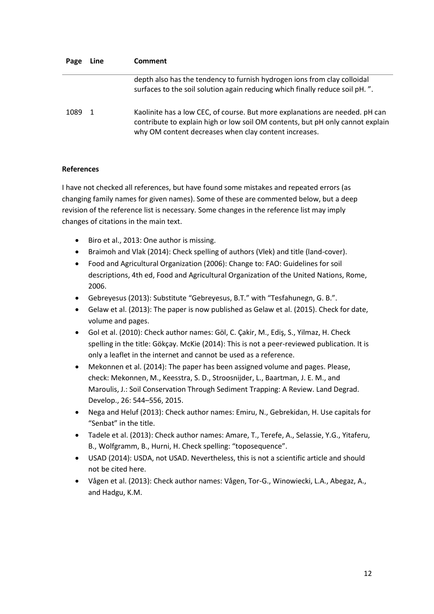| Page | Line | <b>Comment</b>                                                                                                                                                                                                          |
|------|------|-------------------------------------------------------------------------------------------------------------------------------------------------------------------------------------------------------------------------|
|      |      | depth also has the tendency to furnish hydrogen ions from clay colloidal<br>surfaces to the soil solution again reducing which finally reduce soil pH.".                                                                |
| 1089 | -1   | Kaolinite has a low CEC, of course. But more explanations are needed. pH can<br>contribute to explain high or low soil OM contents, but pH only cannot explain<br>why OM content decreases when clay content increases. |

## **References**

I have not checked all references, but have found some mistakes and repeated errors (as changing family names for given names). Some of these are commented below, but a deep revision of the reference list is necessary. Some changes in the reference list may imply changes of citations in the main text.

- Biro et al., 2013: One author is missing.
- Braimoh and Vlak (2014): Check spelling of authors (Vlek) and title (land-cover).
- Food and Agricultural Organization (2006): Change to: FAO: Guidelines for soil descriptions, 4th ed, Food and Agricultural Organization of the United Nations, Rome, 2006.
- Gebreyesus (2013): Substitute "Gebreyesus, B.T." with "Tesfahunegn, G. B.".
- Gelaw et al. (2013): The paper is now published as Gelaw et al. (2015). Check for date, volume and pages.
- Gol et al. (2010): Check author names: Göl, C. Çakir, M., Ediş, S., Yilmaz, H. Check spelling in the title: Gökçay. McKie (2014): This is not a peer-reviewed publication. It is only a leaflet in the internet and cannot be used as a reference.
- Mekonnen et al. (2014): The paper has been assigned volume and pages. Please, check: Mekonnen, M., Keesstra, S. D., Stroosnijder, L., Baartman, J. E. M., and Maroulis, J.: Soil Conservation Through Sediment Trapping: A Review. Land Degrad. Develop., 26: 544–556, 2015.
- Nega and Heluf (2013): Check author names: Emiru, N., Gebrekidan, H. Use capitals for "Senbat" in the title.
- Tadele et al. (2013): Check author names: Amare, T., Terefe, A., Selassie, Y.G., Yitaferu, B., Wolfgramm, B., Hurni, H. Check spelling: "toposequence".
- USAD (2014): USDA, not USAD. Nevertheless, this is not a scientific article and should not be cited here.
- Vågen et al. (2013): Check author names: Vågen, Tor-G., Winowiecki, L.A., Abegaz, A., and Hadgu, K.M.